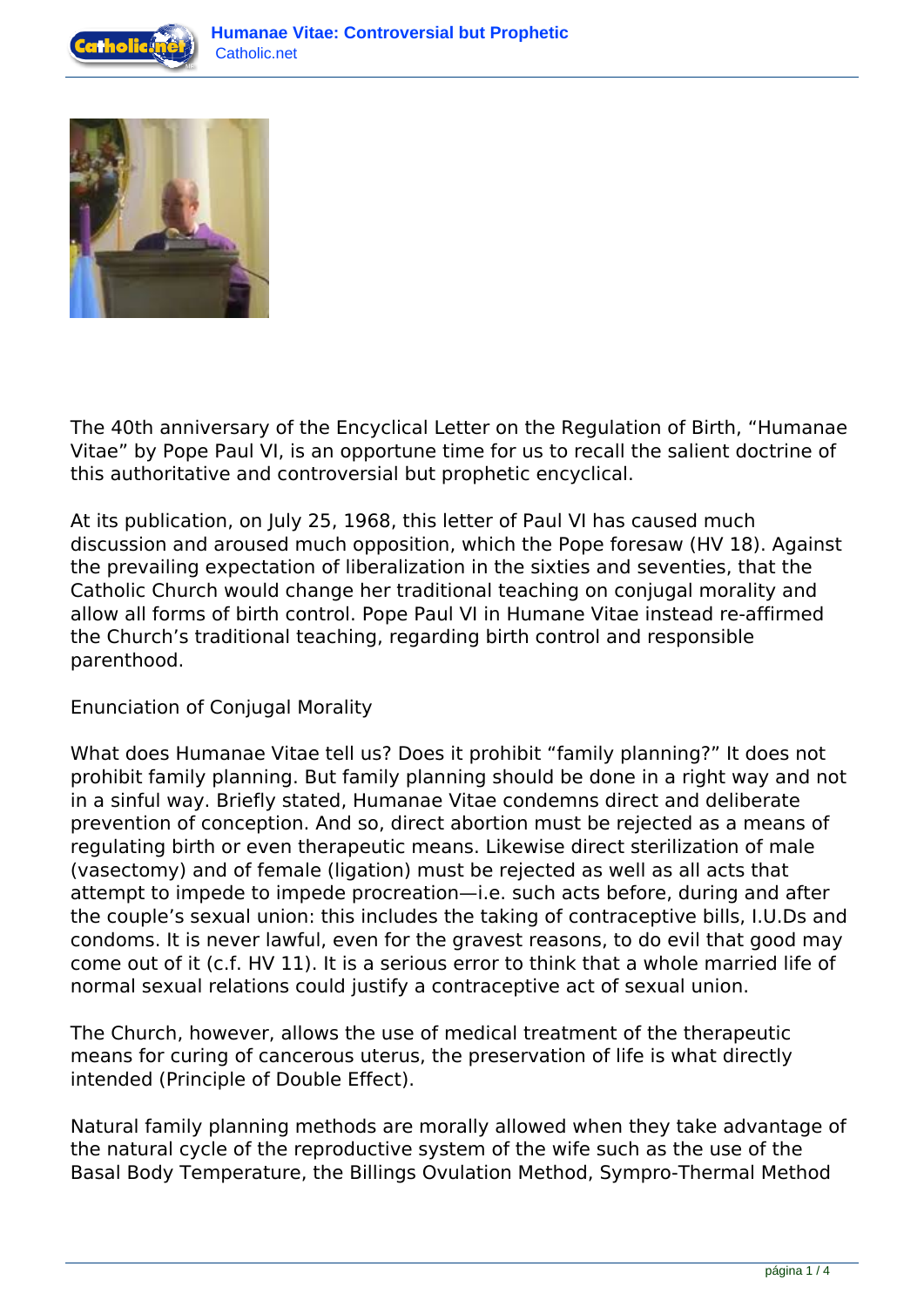



The 40th anniversary of the Encyclical Letter on the Regulation of Birth, "Humanae Vitae" by Pope Paul VI, is an opportune time for us to recall the salient doctrine of this authoritative and controversial but prophetic encyclical.

At its publication, on July 25, 1968, this letter of Paul VI has caused much discussion and aroused much opposition, which the Pope foresaw (HV 18). Against the prevailing expectation of liberalization in the sixties and seventies, that the Catholic Church would change her traditional teaching on conjugal morality and allow all forms of birth control. Pope Paul VI in Humane Vitae instead re-affirmed the Church's traditional teaching, regarding birth control and responsible parenthood.

Enunciation of Conjugal Morality

What does Humanae Vitae tell us? Does it prohibit "family planning?" It does not prohibit family planning. But family planning should be done in a right way and not in a sinful way. Briefly stated, Humanae Vitae condemns direct and deliberate prevention of conception. And so, direct abortion must be rejected as a means of regulating birth or even therapeutic means. Likewise direct sterilization of male (vasectomy) and of female (ligation) must be rejected as well as all acts that attempt to impede to impede procreation—i.e. such acts before, during and after the couple's sexual union: this includes the taking of contraceptive bills, I.U.Ds and condoms. It is never lawful, even for the gravest reasons, to do evil that good may come out of it (c.f. HV 11). It is a serious error to think that a whole married life of normal sexual relations could justify a contraceptive act of sexual union.

The Church, however, allows the use of medical treatment of the therapeutic means for curing of cancerous uterus, the preservation of life is what directly intended (Principle of Double Effect).

Natural family planning methods are morally allowed when they take advantage of the natural cycle of the reproductive system of the wife such as the use of the Basal Body Temperature, the Billings Ovulation Method, Sympro-Thermal Method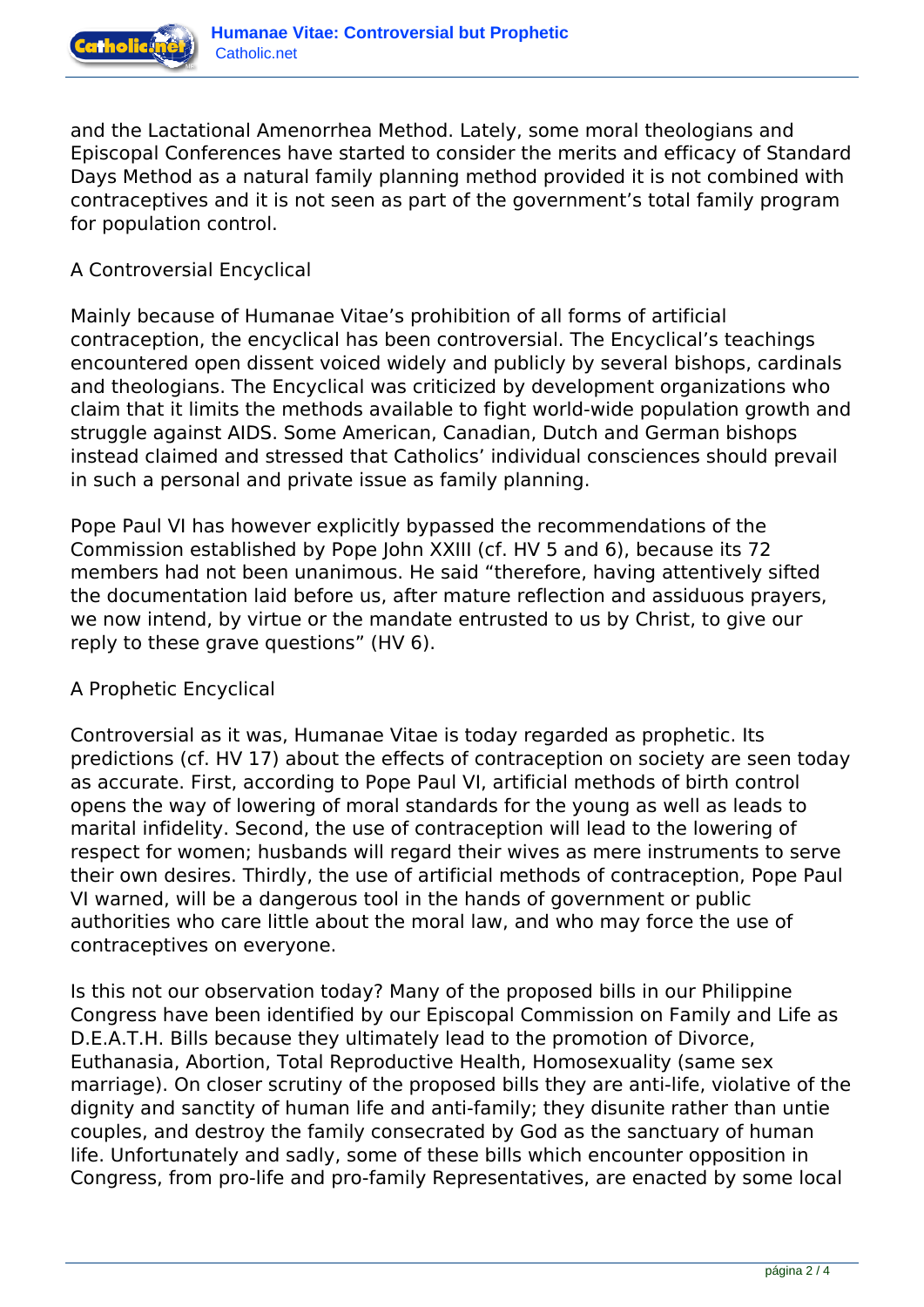

and the Lactational Amenorrhea Method. Lately, some moral theologians and Episcopal Conferences have started to consider the merits and efficacy of Standard Days Method as a natural family planning method provided it is not combined with contraceptives and it is not seen as part of the government's total family program for population control.

## A Controversial Encyclical

Mainly because of Humanae Vitae's prohibition of all forms of artificial contraception, the encyclical has been controversial. The Encyclical's teachings encountered open dissent voiced widely and publicly by several bishops, cardinals and theologians. The Encyclical was criticized by development organizations who claim that it limits the methods available to fight world-wide population growth and struggle against AIDS. Some American, Canadian, Dutch and German bishops instead claimed and stressed that Catholics' individual consciences should prevail in such a personal and private issue as family planning.

Pope Paul VI has however explicitly bypassed the recommendations of the Commission established by Pope John XXIII (cf. HV 5 and 6), because its 72 members had not been unanimous. He said "therefore, having attentively sifted the documentation laid before us, after mature reflection and assiduous prayers, we now intend, by virtue or the mandate entrusted to us by Christ, to give our reply to these grave questions" (HV 6).

## A Prophetic Encyclical

Controversial as it was, Humanae Vitae is today regarded as prophetic. Its predictions (cf. HV 17) about the effects of contraception on society are seen today as accurate. First, according to Pope Paul VI, artificial methods of birth control opens the way of lowering of moral standards for the young as well as leads to marital infidelity. Second, the use of contraception will lead to the lowering of respect for women; husbands will regard their wives as mere instruments to serve their own desires. Thirdly, the use of artificial methods of contraception, Pope Paul VI warned, will be a dangerous tool in the hands of government or public authorities who care little about the moral law, and who may force the use of contraceptives on everyone.

Is this not our observation today? Many of the proposed bills in our Philippine Congress have been identified by our Episcopal Commission on Family and Life as D.E.A.T.H. Bills because they ultimately lead to the promotion of Divorce, Euthanasia, Abortion, Total Reproductive Health, Homosexuality (same sex marriage). On closer scrutiny of the proposed bills they are anti-life, violative of the dignity and sanctity of human life and anti-family; they disunite rather than untie couples, and destroy the family consecrated by God as the sanctuary of human life. Unfortunately and sadly, some of these bills which encounter opposition in Congress, from pro-life and pro-family Representatives, are enacted by some local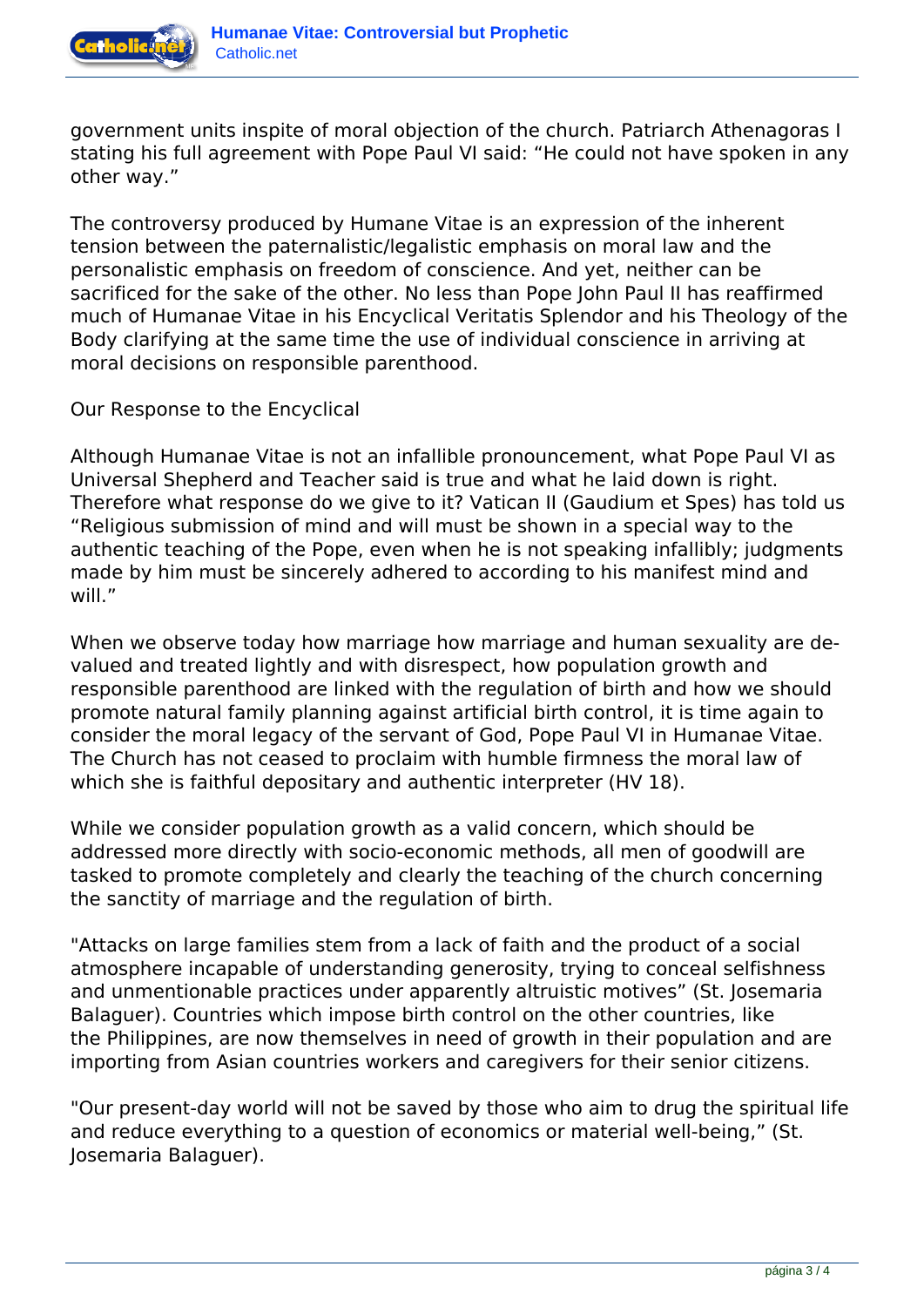

government units inspite of moral objection of the church. Patriarch Athenagoras I stating his full agreement with Pope Paul VI said: "He could not have spoken in any other way."

The controversy produced by Humane Vitae is an expression of the inherent tension between the paternalistic/legalistic emphasis on moral law and the personalistic emphasis on freedom of conscience. And yet, neither can be sacrificed for the sake of the other. No less than Pope John Paul II has reaffirmed much of Humanae Vitae in his Encyclical Veritatis Splendor and his Theology of the Body clarifying at the same time the use of individual conscience in arriving at moral decisions on responsible parenthood.

Our Response to the Encyclical

Although Humanae Vitae is not an infallible pronouncement, what Pope Paul VI as Universal Shepherd and Teacher said is true and what he laid down is right. Therefore what response do we give to it? Vatican II (Gaudium et Spes) has told us "Religious submission of mind and will must be shown in a special way to the authentic teaching of the Pope, even when he is not speaking infallibly; judgments made by him must be sincerely adhered to according to his manifest mind and will."

When we observe today how marriage how marriage and human sexuality are devalued and treated lightly and with disrespect, how population growth and responsible parenthood are linked with the regulation of birth and how we should promote natural family planning against artificial birth control, it is time again to consider the moral legacy of the servant of God, Pope Paul VI in Humanae Vitae. The Church has not ceased to proclaim with humble firmness the moral law of which she is faithful depositary and authentic interpreter (HV 18).

While we consider population growth as a valid concern, which should be addressed more directly with socio-economic methods, all men of goodwill are tasked to promote completely and clearly the teaching of the church concerning the sanctity of marriage and the regulation of birth.

"Attacks on large families stem from a lack of faith and the product of a social atmosphere incapable of understanding generosity, trying to conceal selfishness and unmentionable practices under apparently altruistic motives" (St. Josemaria Balaguer). Countries which impose birth control on the other countries, like the Philippines, are now themselves in need of growth in their population and are importing from Asian countries workers and caregivers for their senior citizens.

"Our present-day world will not be saved by those who aim to drug the spiritual life and reduce everything to a question of economics or material well-being," (St. Josemaria Balaguer).